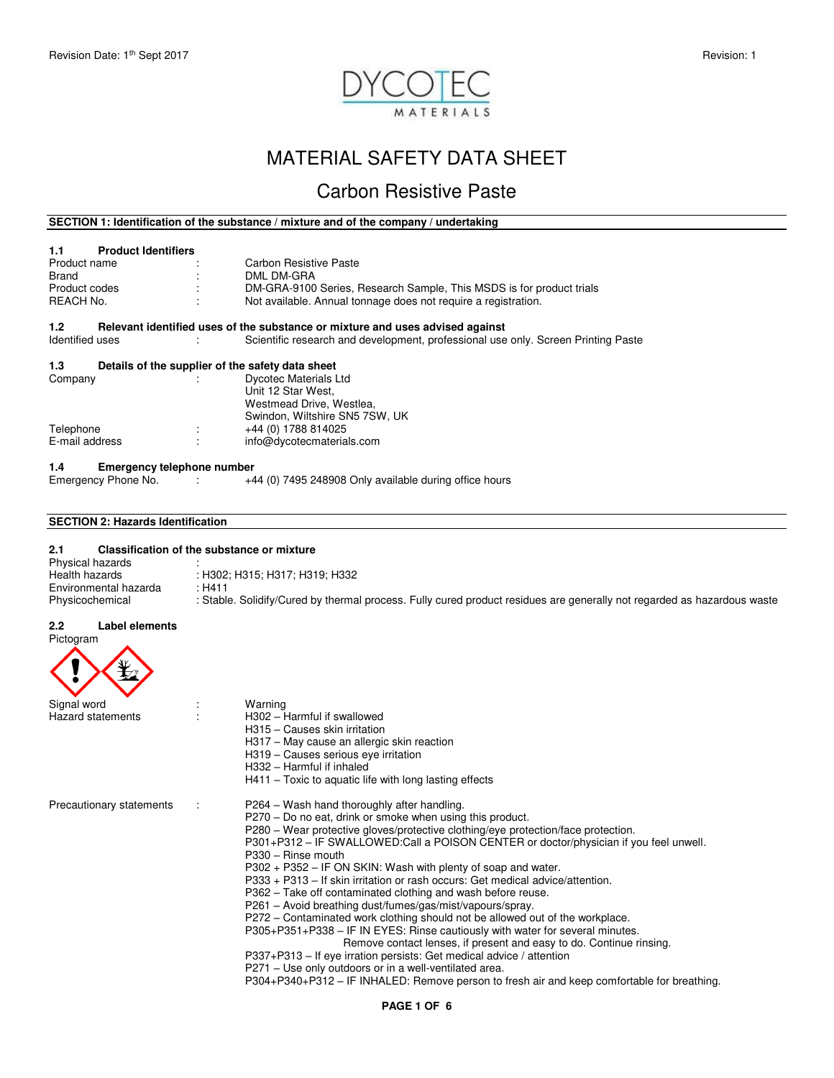

# MATERIAL SAFETY DATA SHEET

# Carbon Resistive Paste

# **SECTION 1: Identification of the substance / mixture and of the company / undertaking**

| 1.1                   | <b>Product Identifiers</b>                       |                                                                                   |
|-----------------------|--------------------------------------------------|-----------------------------------------------------------------------------------|
| Product name          |                                                  | Carbon Resistive Paste                                                            |
| Brand                 |                                                  | DML DM-GRA                                                                        |
| Product codes         |                                                  | DM-GRA-9100 Series, Research Sample, This MSDS is for product trials              |
| REACH No.             |                                                  | Not available. Annual tonnage does not require a registration.                    |
| 1.2 <sub>1</sub>      |                                                  | Relevant identified uses of the substance or mixture and uses advised against     |
| Identified uses       |                                                  | Scientific research and development, professional use only. Screen Printing Paste |
| 1.3                   | Details of the supplier of the safety data sheet |                                                                                   |
| Company               |                                                  | <b>Dycotec Materials Ltd</b>                                                      |
|                       |                                                  | Unit 12 Star West.                                                                |
|                       |                                                  | Westmead Drive, Westlea,                                                          |
|                       |                                                  | Swindon, Wiltshire SN5 7SW, UK                                                    |
| Telephone             | ÷                                                | +44 (0) 1788 814025                                                               |
| E-mail address        |                                                  | info@dycotecmaterials.com                                                         |
| 1.4                   | <b>Emergency telephone number</b>                |                                                                                   |
| Emergency Phone No. : |                                                  | +44 (0) 7495 248908 Only available during office hours                            |
|                       |                                                  |                                                                                   |
| ---------             | .                                                |                                                                                   |

# **SECTION 2: Hazards Identification**

# **2.1 Classification of the substance or mixture**  Physical hazards<br>Health hazards : H302; H315; H317; H319; H332<br>: H411 Environmental hazarda<br>Physicochemical : Stable. Solidify/Cured by thermal process. Fully cured product residues are generally not regarded as hazardous waste

#### **2.2 Label elements**  Pictogram

| <b>HULUYIAIII</b>        |                                                                                                                                                      |
|--------------------------|------------------------------------------------------------------------------------------------------------------------------------------------------|
| Signal word              | Warning                                                                                                                                              |
| <b>Hazard statements</b> | H302 - Harmful if swallowed                                                                                                                          |
|                          | H315 - Causes skin irritation                                                                                                                        |
|                          | H317 - May cause an allergic skin reaction                                                                                                           |
|                          | H319 - Causes serious eve irritation<br>H332 - Harmful if inhaled                                                                                    |
|                          | $H411$ – Toxic to aquatic life with long lasting effects                                                                                             |
| Precautionary statements | P264 – Wash hand thoroughly after handling.                                                                                                          |
|                          | P270 - Do no eat, drink or smoke when using this product.                                                                                            |
|                          | P280 – Wear protective gloves/protective clothing/eye protection/face protection.                                                                    |
|                          | P301+P312 – IF SWALLOWED:Call a POISON CENTER or doctor/physician if you feel unwell.<br>$P330 - Rinse$ mouth                                        |
|                          | P302 + P352 - IF ON SKIN: Wash with plenty of soap and water.                                                                                        |
|                          | P333 + P313 - If skin irritation or rash occurs: Get medical advice/attention.                                                                       |
|                          | P362 – Take off contaminated clothing and wash before reuse.                                                                                         |
|                          | P261 – Avoid breathing dust/fumes/gas/mist/vapours/spray.                                                                                            |
|                          | P272 – Contaminated work clothing should not be allowed out of the workplace.                                                                        |
|                          | P305+P351+P338 - IF IN EYES: Rinse cautiously with water for several minutes.<br>Remove contact lenses, if present and easy to do. Continue rinsing. |
|                          | P337+P313 – If eye irration persists: Get medical advice / attention                                                                                 |
|                          | P271 – Use only outdoors or in a well-ventilated area.                                                                                               |
|                          | P304+P340+P312 – IF INHALED: Remove person to fresh air and keep comfortable for breathing.                                                          |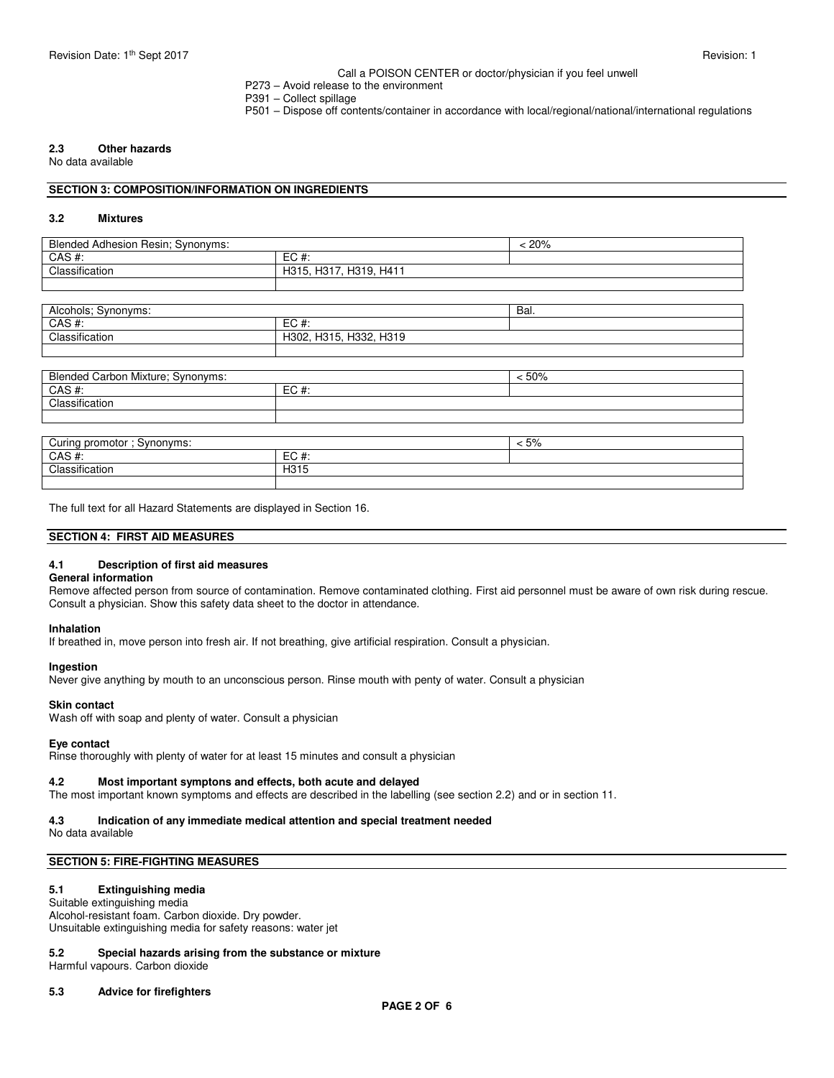# Call a POISON CENTER or doctor/physician if you feel unwell

- P273 Avoid release to the environment
- P391 Collect spillage
- P501 Dispose off contents/container in accordance with local/regional/national/international regulations

# **2.3 Other hazards**

No data available

## **SECTION 3: COMPOSITION/INFORMATION ON INGREDIENTS**

## **3.2 Mixtures**

| Blended Adhesion Resin; Synonyms: |                                | 20% |
|-----------------------------------|--------------------------------|-----|
| CAS#:                             | EC#                            |     |
| Classification                    | H317<br>H319.<br>H411<br>H315. |     |
|                                   |                                |     |

| Alcohols; Synonyms:               |                        | Bal.    |  |
|-----------------------------------|------------------------|---------|--|
| $CAS$ #:                          | $EC#$ :                |         |  |
| Classification                    | H302, H315, H332, H319 |         |  |
|                                   |                        |         |  |
|                                   |                        |         |  |
| Blended Carbon Mixture; Synonyms: |                        | < 50%   |  |
| $CAS$ #:                          | $EC#$ :                |         |  |
| Classification                    |                        |         |  |
|                                   |                        |         |  |
|                                   |                        |         |  |
| Curing promotor ; Synonyms:       |                        | $< 5\%$ |  |
| $CAS$ #:                          | $EC#$ :                |         |  |
| Classification                    | H315                   |         |  |

The full text for all Hazard Statements are displayed in Section 16.

# **SECTION 4: FIRST AID MEASURES**

## **4.1 Description of first aid measures**

## **General information**

Remove affected person from source of contamination. Remove contaminated clothing. First aid personnel must be aware of own risk during rescue. Consult a physician. Show this safety data sheet to the doctor in attendance.

# **Inhalation**

If breathed in, move person into fresh air. If not breathing, give artificial respiration. Consult a physician.

## **Ingestion**

Never give anything by mouth to an unconscious person. Rinse mouth with penty of water. Consult a physician

#### **Skin contact**

Wash off with soap and plenty of water. Consult a physician

#### **Eye contact**

Rinse thoroughly with plenty of water for at least 15 minutes and consult a physician

## **4.2 Most important symptons and effects, both acute and delayed**

The most important known symptoms and effects are described in the labelling (see section 2.2) and or in section 11.

# **4.3 Indication of any immediate medical attention and special treatment needed**

No data available

# **SECTION 5: FIRE-FIGHTING MEASURES**

# **5.1 Extinguishing media**

Suitable extinguishing media Alcohol-resistant foam. Carbon dioxide. Dry powder. Unsuitable extinguishing media for safety reasons: water jet

# **5.2 Special hazards arising from the substance or mixture**

Harmful vapours. Carbon dioxide

#### **5.3 Advice for firefighters**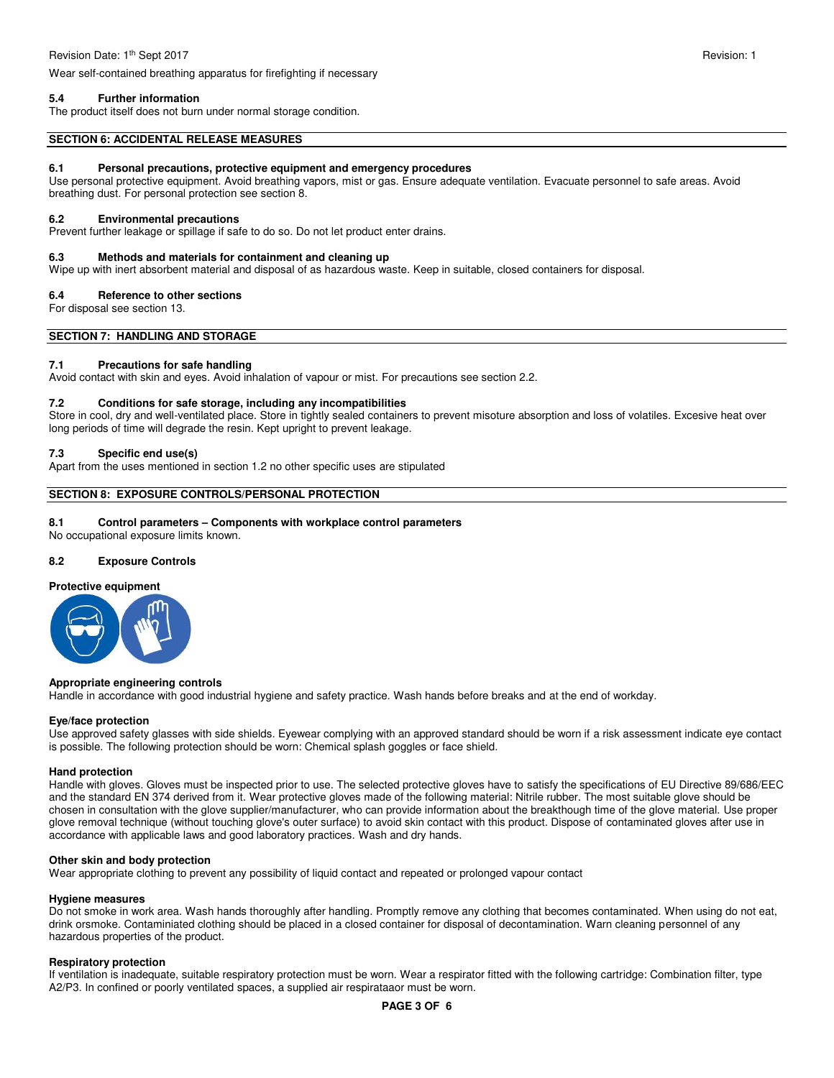Wear self-contained breathing apparatus for firefighting if necessary

# **5.4 Further information**

The product itself does not burn under normal storage condition.

## **SECTION 6: ACCIDENTAL RELEASE MEASURES**

## **6.1 Personal precautions, protective equipment and emergency procedures**

Use personal protective equipment. Avoid breathing vapors, mist or gas. Ensure adequate ventilation. Evacuate personnel to safe areas. Avoid breathing dust. For personal protection see section 8.

## **6.2 Environmental precautions**

Prevent further leakage or spillage if safe to do so. Do not let product enter drains.

## **6.3 Methods and materials for containment and cleaning up**

Wipe up with inert absorbent material and disposal of as hazardous waste. Keep in suitable, closed containers for disposal.

## **6.4 Reference to other sections**

For disposal see section 13.

**SECTION 7: HANDLING AND STORAGE** 

# **7.1 Precautions for safe handling**

Avoid contact with skin and eyes. Avoid inhalation of vapour or mist. For precautions see section 2.2.

# **7.2 Conditions for safe storage, including any incompatibilities**

Store in cool, dry and well-ventilated place. Store in tightly sealed containers to prevent misoture absorption and loss of volatiles. Excesive heat over long periods of time will degrade the resin. Kept upright to prevent leakage.

# **7.3 Specific end use(s)**

Apart from the uses mentioned in section 1.2 no other specific uses are stipulated

# **SECTION 8: EXPOSURE CONTROLS/PERSONAL PROTECTION**

## **8.1 Control parameters – Components with workplace control parameters**

No occupational exposure limits known.

## **8.2 Exposure Controls**

# **Protective equipment**



## **Appropriate engineering controls**

Handle in accordance with good industrial hygiene and safety practice. Wash hands before breaks and at the end of workday.

## **Eye/face protection**

Use approved safety glasses with side shields. Eyewear complying with an approved standard should be worn if a risk assessment indicate eye contact is possible. The following protection should be worn: Chemical splash goggles or face shield.

## **Hand protection**

Handle with gloves. Gloves must be inspected prior to use. The selected protective gloves have to satisfy the specifications of EU Directive 89/686/EEC and the standard EN 374 derived from it. Wear protective gloves made of the following material: Nitrile rubber. The most suitable glove should be chosen in consultation with the glove supplier/manufacturer, who can provide information about the breakthough time of the glove material. Use proper glove removal technique (without touching glove's outer surface) to avoid skin contact with this product. Dispose of contaminated gloves after use in accordance with applicable laws and good laboratory practices. Wash and dry hands.

# **Other skin and body protection**

Wear appropriate clothing to prevent any possibility of liquid contact and repeated or prolonged vapour contact

## **Hygiene measures**

Do not smoke in work area. Wash hands thoroughly after handling. Promptly remove any clothing that becomes contaminated. When using do not eat, drink orsmoke. Contaminiated clothing should be placed in a closed container for disposal of decontamination. Warn cleaning personnel of any hazardous properties of the product.

## **Respiratory protection**

If ventilation is inadequate, suitable respiratory protection must be worn. Wear a respirator fitted with the following cartridge: Combination filter, type A2/P3. In confined or poorly ventilated spaces, a supplied air respirataaor must be worn.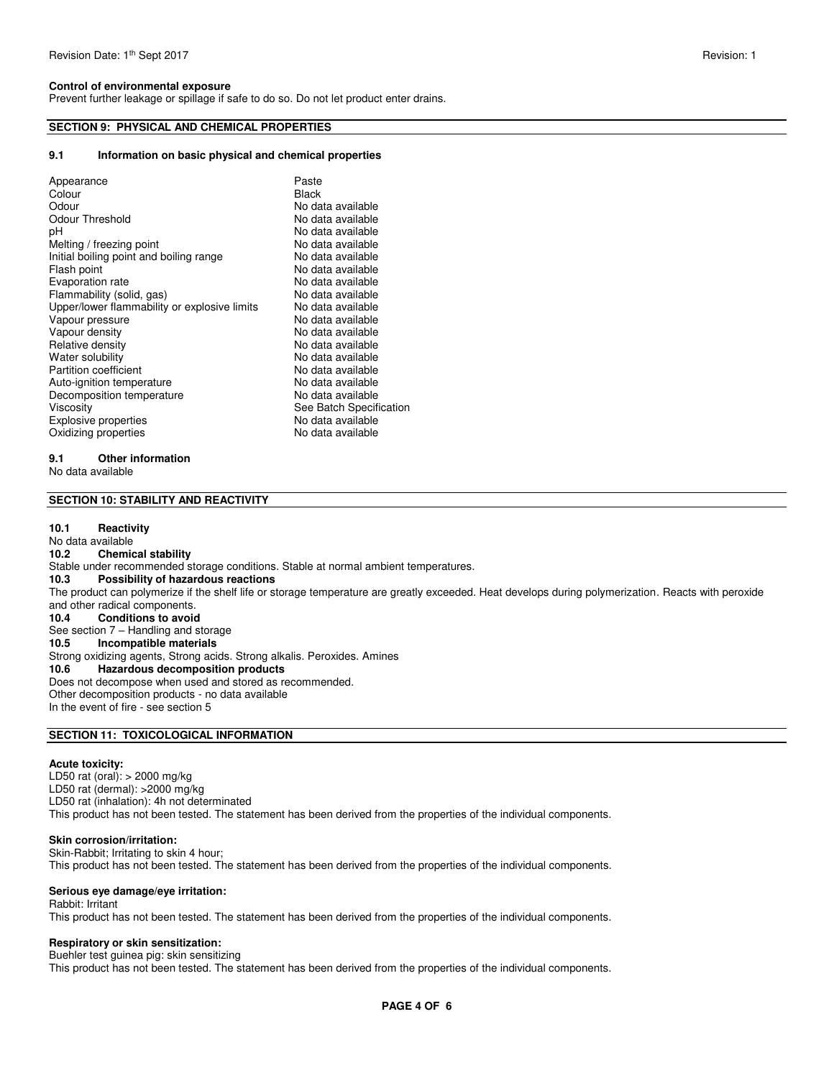# **Control of environmental exposure**

Prevent further leakage or spillage if safe to do so. Do not let product enter drains.

# **SECTION 9: PHYSICAL AND CHEMICAL PROPERTIES**

# **9.1 Information on basic physical and chemical properties**

| Appearance<br>Colour<br>Odour<br>Odour Threshold<br>рH<br>Melting / freezing point<br>Initial boiling point and boiling range<br>Flash point<br>Evaporation rate<br>Flammability (solid, gas)<br>Upper/lower flammability or explosive limits<br>Vapour pressure<br>Vapour density<br>Relative density<br>Water solubility<br><b>Partition coefficient</b><br>Auto-ignition temperature | Paste<br><b>Black</b><br>No data available<br>No data available<br>No data available<br>No data available<br>No data available<br>No data available<br>No data available<br>No data available<br>No data available<br>No data available<br>No data available<br>No data available<br>No data available<br>No data available<br>No data available |
|-----------------------------------------------------------------------------------------------------------------------------------------------------------------------------------------------------------------------------------------------------------------------------------------------------------------------------------------------------------------------------------------|--------------------------------------------------------------------------------------------------------------------------------------------------------------------------------------------------------------------------------------------------------------------------------------------------------------------------------------------------|
|                                                                                                                                                                                                                                                                                                                                                                                         |                                                                                                                                                                                                                                                                                                                                                  |
|                                                                                                                                                                                                                                                                                                                                                                                         |                                                                                                                                                                                                                                                                                                                                                  |
| Decomposition temperature                                                                                                                                                                                                                                                                                                                                                               | No data available                                                                                                                                                                                                                                                                                                                                |
| Viscosity                                                                                                                                                                                                                                                                                                                                                                               | See Batch Specification                                                                                                                                                                                                                                                                                                                          |
| <b>Explosive properties</b>                                                                                                                                                                                                                                                                                                                                                             | No data available                                                                                                                                                                                                                                                                                                                                |
| Oxidizing properties                                                                                                                                                                                                                                                                                                                                                                    | No data available                                                                                                                                                                                                                                                                                                                                |

# **9.1 Other information**

No data available

# **SECTION 10: STABILITY AND REACTIVITY**

#### **10.1 Reactivity**

No data available<br>10.2 Chemic **10.2 Chemical stability**  Stable under recommended storage conditions. Stable at normal ambient temperatures.<br>10.3 Possibility of hazardous reactions **10.3 Possibility of hazardous reactions**  The product can polymerize if the shelf life or storage temperature are greatly exceeded. Heat develops during polymerization. Reacts with peroxide and other radical components. **10.4 Conditions to avoid**  See section 7 – Handling and storage<br>10.5 **Incompatible materials Incompatible materials** Strong oxidizing agents, Strong acids. Strong alkalis. Peroxides. Amines<br>10.6 **Hazardous decomposition products 10.6 Hazardous decomposition products**  Does not decompose when used and stored as recommended. Other decomposition products - no data available In the event of fire - see section 5

# **SECTION 11: TOXICOLOGICAL INFORMATION**

## **Acute toxicity:**

LD50 rat (oral): > 2000 mg/kg LD50 rat (dermal): >2000 mg/kg LD50 rat (inhalation): 4h not determinated This product has not been tested. The statement has been derived from the properties of the individual components.

# **Skin corrosion/irritation:**

Skin-Rabbit; Irritating to skin 4 hour; This product has not been tested. The statement has been derived from the properties of the individual components.

## **Serious eye damage/eye irritation:**

Rabbit: Irritant This product has not been tested. The statement has been derived from the properties of the individual components.

# **Respiratory or skin sensitization:**

Buehler test guinea pig: skin sensitizing This product has not been tested. The statement has been derived from the properties of the individual components.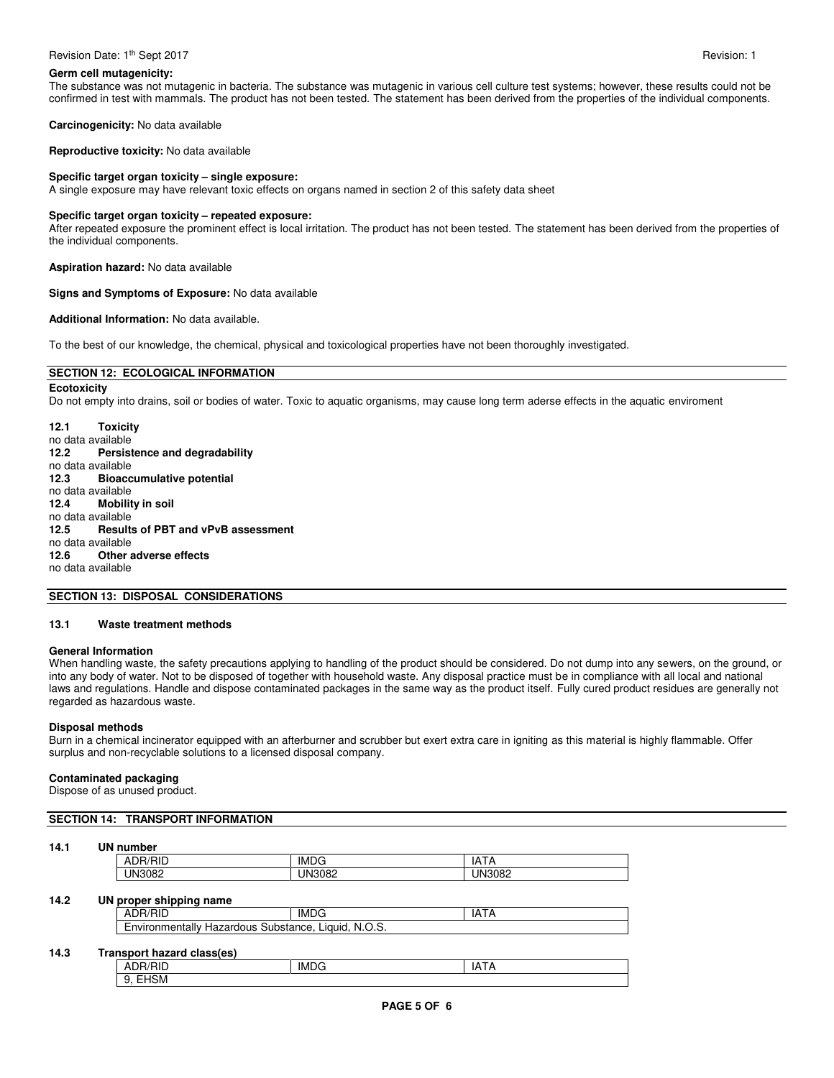#### **Germ cell mutagenicity:**

The substance was not mutagenic in bacteria. The substance was mutagenic in various cell culture test systems; however, these results could not be confirmed in test with mammals. The product has not been tested. The statement has been derived from the properties of the individual components.

**Carcinogenicity:** No data available

**Reproductive toxicity:** No data available

# **Specific target organ toxicity – single exposure:**

A single exposure may have relevant toxic effects on organs named in section 2 of this safety data sheet

## **Specific target organ toxicity – repeated exposure:**

After repeated exposure the prominent effect is local irritation. The product has not been tested. The statement has been derived from the properties of the individual components.

**Aspiration hazard:** No data available

#### **Signs and Symptoms of Exposure:** No data available

#### **Additional Information:** No data available.

To the best of our knowledge, the chemical, physical and toxicological properties have not been thoroughly investigated.

# **SECTION 12: ECOLOGICAL INFORMATION**

**Ecotoxicity**  Do not empty into drains, soil or bodies of water. Toxic to aquatic organisms, may cause long term aderse effects in the aquatic enviroment

**12.1 Toxicity**  no data available<br>12.2 Persist **12.2 Persistence and degradability**  no data available<br>12.3 **Bioacc 12.3 Bioaccumulative potential**  no data available **12.4 Mobility in soil**  no data available<br>12.5 Result **12.5 Results of PBT and vPvB assessment**  no data available **12.6 Other adverse effects**  no data available

## **SECTION 13: DISPOSAL CONSIDERATIONS**

#### **13.1 Waste treatment methods**

# **General Information**

When handling waste, the safety precautions applying to handling of the product should be considered. Do not dump into any sewers, on the ground, or into any body of water. Not to be disposed of together with household waste. Any disposal practice must be in compliance with all local and national laws and regulations. Handle and dispose contaminated packages in the same way as the product itself. Fully cured product residues are generally not regarded as hazardous waste.

# **Disposal methods**

Burn in a chemical incinerator equipped with an afterburner and scrubber but exert extra care in igniting as this material is highly flammable. Offer surplus and non-recyclable solutions to a licensed disposal company.

### **Contaminated packaging**

Dispose of as unused product.

## **SECTION 14: TRANSPORT INFORMATION**

#### **14.1 UN number**

| - - -<br>∼<br>. | -<br>IML.<br>$\mathbf{H}$ | IΔ<br>חור<br>ır |
|-----------------|---------------------------|-----------------|
| ے ں،            | IN                        | IN              |

#### **14.2 UN proper shipping name**

| ADR/RID                                                      | IMDG | IAT |  |  |
|--------------------------------------------------------------|------|-----|--|--|
| N.O.S.<br>Environmentally Hazardous<br>Substance.<br>Liquid. |      |     |  |  |
|                                                              |      |     |  |  |

# **14.3 Transport hazard class(es)**

| $\overline{\phantom{a}}$<br>∵ ר∪.<br>-<br>บเ<br>v | <b>IMDG</b> | .<br>A<br>. . |
|---------------------------------------------------|-------------|---------------|
| $\sim$ $\sim$ $\sim$<br>15M<br>−<br>J.<br>.       |             |               |